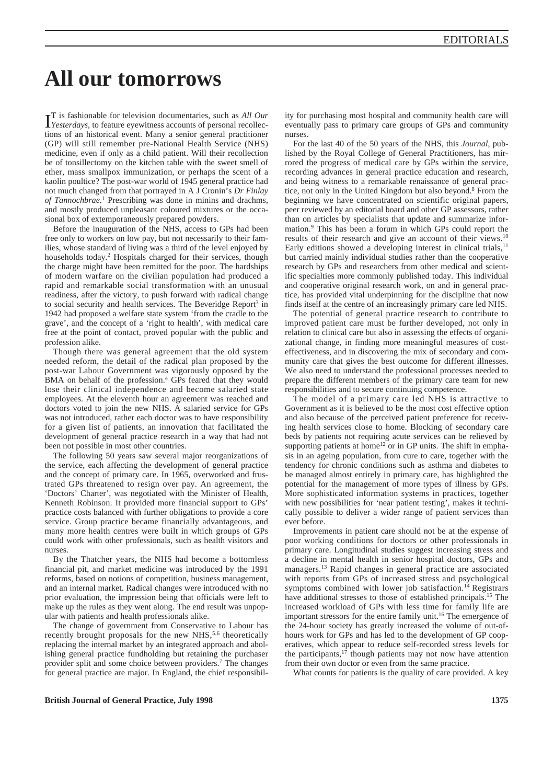## **All our tomorrows**

**IT** is fashionable for television documentaries, such as *All Our Yesterdays*, to feature eyewitness accounts of personal recollec-T is fashionable for television documentaries, such as *All Our* tions of an historical event. Many a senior general practitioner (GP) will still remember pre-National Health Service (NHS) medicine, even if only as a child patient. Will their recollection be of tonsillectomy on the kitchen table with the sweet smell of ether, mass smallpox immunization, or perhaps the scent of a kaolin poultice? The post-war world of 1945 general practice had not much changed from that portrayed in A J Cronin's *Dr Finlay of Tannochbrae.*<sup>1</sup> Prescribing was done in minins and drachms, and mostly produced unpleasant coloured mixtures or the occasional box of extemporaneously prepared powders.

Before the inauguration of the NHS, access to GPs had been free only to workers on low pay, but not necessarily to their families, whose standard of living was a third of the level enjoyed by households today.<sup>2</sup> Hospitals charged for their services, though the charge might have been remitted for the poor. The hardships of modern warfare on the civilian population had produced a rapid and remarkable social transformation with an unusual readiness, after the victory, to push forward with radical change to social security and health services. The Beveridge Report<sup>3</sup> in 1942 had proposed a welfare state system 'from the cradle to the grave', and the concept of a 'right to health', with medical care free at the point of contact, proved popular with the public and profession alike.

Though there was general agreement that the old system needed reform, the detail of the radical plan proposed by the post-war Labour Government was vigorously opposed by the BMA on behalf of the profession.<sup>4</sup> GPs feared that they would lose their clinical independence and become salaried state employees. At the eleventh hour an agreement was reached and doctors voted to join the new NHS. A salaried service for GPs was not introduced, rather each doctor was to have responsibility for a given list of patients, an innovation that facilitated the development of general practice research in a way that had not been not possible in most other countries.

The following 50 years saw several major reorganizations of the service, each affecting the development of general practice and the concept of primary care. In 1965, overworked and frustrated GPs threatened to resign over pay. An agreement, the 'Doctors' Charter', was negotiated with the Minister of Health, Kenneth Robinson. It provided more financial support to GPs' practice costs balanced with further obligations to provide a core service. Group practice became financially advantageous, and many more health centres were built in which groups of GPs could work with other professionals, such as health visitors and nurses.

By the Thatcher years, the NHS had become a bottomless financial pit, and market medicine was introduced by the 1991 reforms, based on notions of competition, business management, and an internal market. Radical changes were introduced with no prior evaluation, the impression being that officials were left to make up the rules as they went along. The end result was unpopular with patients and health professionals alike.

The change of government from Conservative to Labour has recently brought proposals for the new NHS,<sup>5,6</sup> theoretically replacing the internal market by an integrated approach and abolishing general practice fundholding but retaining the purchaser provider split and some choice between providers.7 The changes for general practice are major. In England, the chief responsibility for purchasing most hospital and community health care will eventually pass to primary care groups of GPs and community nurses.

For the last 40 of the 50 years of the NHS, this *Journal*, published by the Royal College of General Practitioners, has mirrored the progress of medical care by GPs within the service, recording advances in general practice education and research, and being witness to a remarkable renaissance of general practice, not only in the United Kingdom but also beyond.8 From the beginning we have concentrated on scientific original papers, peer reviewed by an editorial board and other GP assessors, rather than on articles by specialists that update and summarize information.9 This has been a forum in which GPs could report the results of their research and give an account of their views.<sup>10</sup> Early editions showed a developing interest in clinical trials,<sup>11</sup> but carried mainly individual studies rather than the cooperative research by GPs and researchers from other medical and scientific specialties more commonly published today. This individual and cooperative original research work, on and in general practice, has provided vital underpinning for the discipline that now finds itself at the centre of an increasingly primary care led NHS.

The potential of general practice research to contribute to improved patient care must be further developed, not only in relation to clinical care but also in assessing the effects of organizational change, in finding more meaningful measures of costeffectiveness, and in discovering the mix of secondary and community care that gives the best outcome for different illnesses. We also need to understand the professional processes needed to prepare the different members of the primary care team for new responsibilities and to secure continuing competence.

The model of a primary care led NHS is attractive to Government as it is believed to be the most cost effective option and also because of the perceived patient preference for receiving health services close to home. Blocking of secondary care beds by patients not requiring acute services can be relieved by supporting patients at home<sup>12</sup> or in GP units. The shift in emphasis in an ageing population, from cure to care, together with the tendency for chronic conditions such as asthma and diabetes to be managed almost entirely in primary care, has highlighted the potential for the management of more types of illness by GPs. More sophisticated information systems in practices, together with new possibilities for 'near patient testing', makes it technically possible to deliver a wider range of patient services than ever before.

Improvements in patient care should not be at the expense of poor working conditions for doctors or other professionals in primary care. Longitudinal studies suggest increasing stress and a decline in mental health in senior hospital doctors, GPs and managers.13 Rapid changes in general practice are associated with reports from GPs of increased stress and psychological symptoms combined with lower job satisfaction.14 Registrars have additional stresses to those of established principals.15 The increased workload of GPs with less time for family life are important stressors for the entire family unit.<sup>16</sup> The emergence of the 24-hour society has greatly increased the volume of out-ofhours work for GPs and has led to the development of GP cooperatives, which appear to reduce self-recorded stress levels for the participants, $1^{\hat{7}}$  though patients may not now have attention from their own doctor or even from the same practice.

What counts for patients is the quality of care provided. A key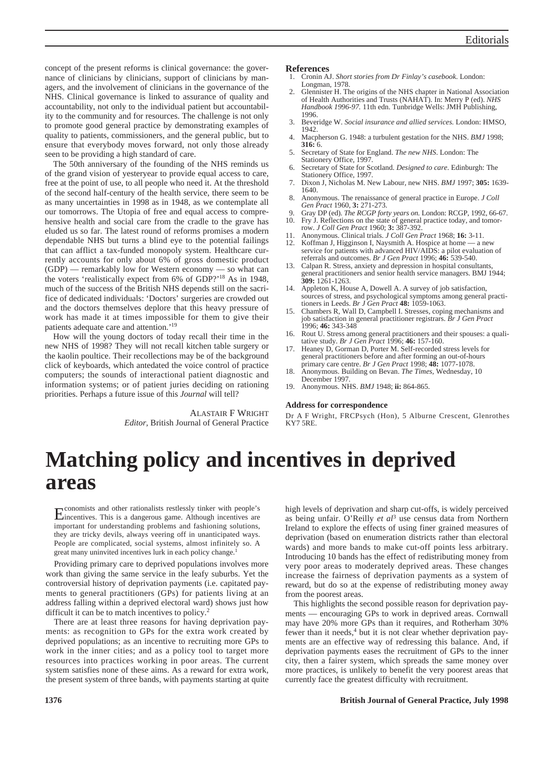concept of the present reforms is clinical governance: the governance of clinicians by clinicians, support of clinicians by managers, and the involvement of clinicians in the governance of the NHS. Clinical governance is linked to assurance of quality and accountability, not only to the individual patient but accountability to the community and for resources. The challenge is not only to promote good general practice by demonstrating examples of quality to patients, commissioners, and the general public, but to ensure that everybody moves forward, not only those already seen to be providing a high standard of care.

The 50th anniversary of the founding of the NHS reminds us of the grand vision of yesteryear to provide equal access to care, free at the point of use, to all people who need it. At the threshold of the second half-century of the health service, there seem to be as many uncertainties in 1998 as in 1948, as we contemplate all our tomorrows. The Utopia of free and equal access to comprehensive health and social care from the cradle to the grave has eluded us so far. The latest round of reforms promises a modern dependable NHS but turns a blind eye to the potential failings that can afflict a tax-funded monopoly system. Healthcare currently accounts for only about 6% of gross domestic product (GDP) — remarkably low for Western economy — so what can the voters 'realistically expect from 6% of GDP?'18 As in 1948, much of the success of the British NHS depends still on the sacrifice of dedicated individuals: 'Doctors' surgeries are crowded out and the doctors themselves deplore that this heavy pressure of work has made it at times impossible for them to give their patients adequate care and attention.'19

How will the young doctors of today recall their time in the new NHS of 1998? They will not recall kitchen table surgery or the kaolin poultice. Their recollections may be of the background click of keyboards, which antedated the voice control of practice computers; the sounds of interactional patient diagnostic and information systems; or of patient juries deciding on rationing priorities. Perhaps a future issue of this *Journal* will tell?

> ALASTAIR F WRIGHT *Editor,* British Journal of General Practice

## **References**

- 1. Cronin AJ. *Short stories from Dr Finlay's casebook*. London: Longman, 1978.
- 2. Glennister H. The origins of the NHS chapter in National Association of Health Authorities and Trusts (NAHAT). In: Merry P (ed). *NHS Handbook 1996-97.* 11th edn. Tunbridge Wells: JMH Publishing, 1996.
- 3. Beveridge W. *Social insurance and allied services.* London: HMSO, 1942.
- 4. Macpherson G. 1948: a turbulent gestation for the NHS. *BMJ* 1998; **316:** 6.
- 5. Secretary of State for England. *The new NHS*. London: The Stationery Office, 1997.
- 6. Secretary of State for Scotland. *Designed to care*. Edinburgh: The Stationery Office, 1997.
- 7. Dixon J, Nicholas M. New Labour, new NHS. *BMJ* 1997; **305:** 1639- 1640.
- 8. Anonymous. The renaissance of general practice in Europe. *J Coll Gen Pract* 1960, **3:** 271-273.
- 9. Gray DP (ed). *The RCGP forty years on.* London: RCGP, 1992, 66-67. 10. Fry J. Reflections on the state of general practice today, and tomor-row. *J Coll Gen Pract* 1960; **3:** 387-392.
- 11. Anonymous. Clinical trials. *J Coll Gen Pract* 1968; **16:** 3-11.
- 12. Koffman J, Higginson I, Naysmith A. Hospice at home a new service for patients with advanced HIV/AIDS: a pilot evaluation of referrals and outcomes. *Br J Gen Pract* 1996; **46:** 539-540.
- 13. Calpan R. Stress, anxiety and depression in hospital consultants, general practitioners and senior health service managers. BMJ 1944; **309:** 1261-1263.
- 14. Appleton K, House A, Dowell A. A survey of job satisfaction, sources of stress, and psychological symptoms among general practi-tioners in Leeds. *Br J Gen Pract* **48:** 1059-1063.
- 15. Chambers R, Wall D, Campbell I. Stresses, coping mechanisms and job satisfaction in general practitioner registrars. *Br J Gen Pract* 1996; **46:** 343-348
- 16. Rout U. Stress among general practitioners and their spouses: a qualitative study. *Br J Gen Pract* 1996; **46:** 157-160.
- 17. Heaney D, Gorman D, Porter M. Self-recorded stress levels for general practitioners before and after forming an out-of-hours primary care centre. *Br J Gen Pract* 1998; **48:** 1077-1078.
- 18. Anonymous. Building on Bevan. *The Times,* Wednesday, 10 December 1997.
- 19. Anonymous. NHS. *BMJ* 1948; **ii:** 864-865.

#### **Address for correspondence**

Dr A F Wright, FRCPsych (Hon), 5 Alburne Crescent, Glenrothes KY7 5RE.

# **Matching policy and incentives in deprived areas**

Economists and other rationalists restlessly tinker with people's incentives. This is a dangerous game. Although incentives are important for understanding problems and fashioning solutions, they are tricky devils, always veering off in unanticipated ways. People are complicated, social systems, almost infinitely so. A great many uninvited incentives lurk in each policy change.<sup>1</sup>

Providing primary care to deprived populations involves more work than giving the same service in the leafy suburbs. Yet the controversial history of deprivation payments (i.e. capitated payments to general practitioners (GPs) for patients living at an address falling within a deprived electoral ward) shows just how difficult it can be to match incentives to policy.<sup>2</sup>

There are at least three reasons for having deprivation payments: as recognition to GPs for the extra work created by deprived populations; as an incentive to recruiting more GPs to work in the inner cities; and as a policy tool to target more resources into practices working in poor areas. The current system satisfies none of these aims. As a reward for extra work, the present system of three bands, with payments starting at quite high levels of deprivation and sharp cut-offs, is widely perceived as being unfair. O'Reilly *et al*<sup>3</sup> use census data from Northern Ireland to explore the effects of using finer grained measures of deprivation (based on enumeration districts rather than electoral wards) and more bands to make cut-off points less arbitrary. Introducing 10 bands has the effect of redistributing money from very poor areas to moderately deprived areas. These changes increase the fairness of deprivation payments as a system of reward, but do so at the expense of redistributing money away from the poorest areas.

This highlights the second possible reason for deprivation payments — encouraging GPs to work in deprived areas. Cornwall may have 20% more GPs than it requires, and Rotherham 30% fewer than it needs,<sup>4</sup> but it is not clear whether deprivation payments are an effective way of redressing this balance. And, if deprivation payments eases the recruitment of GPs to the inner city, then a fairer system, which spreads the same money over more practices, is unlikely to benefit the very poorest areas that currently face the greatest difficulty with recruitment.

## **1376 British Journal of General Practice, July 1998**